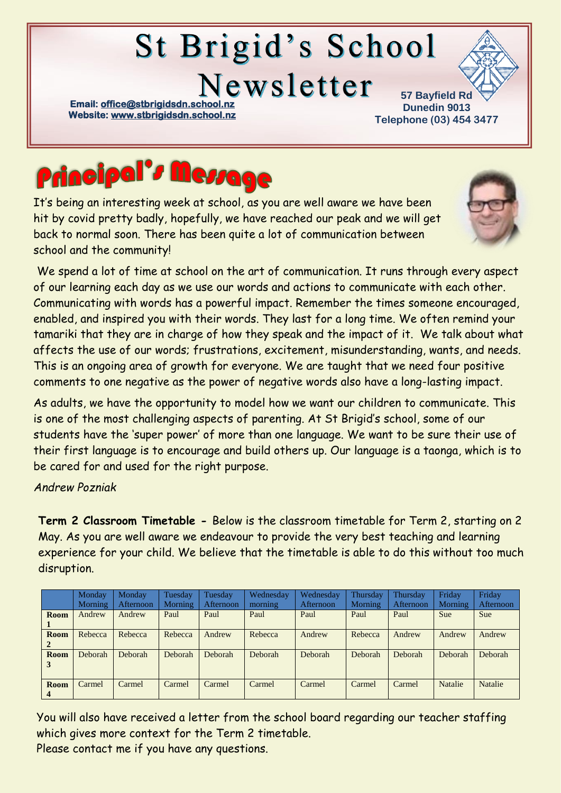# **St Brigid's School**

Newsletter

**Email: office@stbrigidsdn.school Website[: www.stbrigidsdn.school.nz](http://www.stbrigidsdn.school.nz/)** 

**57 Bayfield Rd Dunedin 9013 Telephone (03) 454 3477** 



It's being an interesting week at school, as you are well aware we have been hit by covid pretty badly, hopefully, we have reached our peak and we will get back to normal soon. There has been quite a lot of communication between school and the community!



We spend a lot of time at school on the art of communication. It runs through every aspect of our learning each day as we use our words and actions to communicate with each other. Communicating with words has a powerful impact. Remember the times someone encouraged, enabled, and inspired you with their words. They last for a long time. We often remind your tamariki that they are in charge of how they speak and the impact of it. We talk about what affects the use of our words; frustrations, excitement, misunderstanding, wants, and needs. This is an ongoing area of growth for everyone. We are taught that we need four positive comments to one negative as the power of negative words also have a long-lasting impact.

As adults, we have the opportunity to model how we want our children to communicate. This is one of the most challenging aspects of parenting. At St Brigid's school, some of our students have the 'super power' of more than one language. We want to be sure their use of their first language is to encourage and build others up. Our language is a taonga, which is to be cared for and used for the right purpose.

*Andrew Pozniak*

**Term 2 Classroom Timetable -** Below is the classroom timetable for Term 2, starting on 2 May. As you are well aware we endeavour to provide the very best teaching and learning experience for your child. We believe that the timetable is able to do this without too much disruption.

|                        | Monday<br><b>Morning</b> | Monday<br><b>Afternoon</b> | Tuesday<br><b>Morning</b> | Tuesday<br>Afternoon | Wednesday<br>morning | Wednesday<br>Afternoon | Thursday<br>Morning | Thursday<br>Afternoon | Friday<br><b>Morning</b> | Friday<br>Afternoon |
|------------------------|--------------------------|----------------------------|---------------------------|----------------------|----------------------|------------------------|---------------------|-----------------------|--------------------------|---------------------|
| Room                   | Andrew                   | Andrew                     | Paul                      | Paul                 | Paul                 | Paul                   | Paul                | Paul                  | <b>Sue</b>               | <b>Sue</b>          |
| Room<br>$\overline{2}$ | Rebecca                  | Rebecca                    | Rebecca                   | Andrew               | Rebecca              | Andrew                 | Rebecca             | Andrew                | Andrew                   | Andrew              |
| Room<br>3              | Deborah                  | <b>Deborah</b>             | Deborah                   | <b>Deborah</b>       | <b>Deborah</b>       | Deborah                | <b>Deborah</b>      | <b>Deborah</b>        | Deborah                  | <b>Deborah</b>      |
| Room<br>4              | Carmel                   | Carmel                     | Carmel                    | Carmel               | Carmel               | Carmel                 | Carmel              | Carmel                | <b>Natalie</b>           | <b>Natalie</b>      |

You will also have received a letter from the school board regarding our teacher staffing which gives more context for the Term 2 timetable. Please contact me if you have any questions.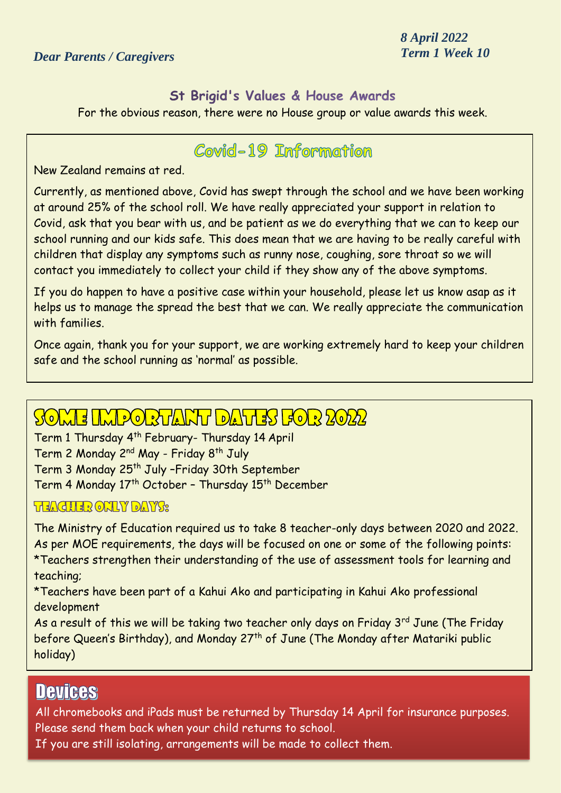*8 April 2022*

#### St Brigid's Values & House Awards

For the obvious reason, there were no House group or value awards this week.

#### Covid-19 Information

New Zealand remains at red.

Currently, as mentioned above, Covid has swept through the school and we have been working at around 25% of the school roll. We have really appreciated your support in relation to Covid, ask that you bear with us, and be patient as we do everything that we can to keep our school running and our kids safe. This does mean that we are having to be really careful with children that display any symptoms such as runny nose, coughing, sore throat so we will contact you immediately to collect your child if they show any of the above symptoms.

If you do happen to have a positive case within your household, please let us know asap as it helps us to manage the spread the best that we can. We really appreciate the communication with families.

Once again, thank you for your support, we are working extremely hard to keep your children safe and the school running as 'normal' as possible.

# SOME IMPORTANT DATES FOR 2022

Term 1 Thursday 4th February- Thursday 14 April Term 2 Monday 2nd May - Friday 8th July Term 3 Monday 25<sup>th</sup> July -Friday 30th September Term 4 Monday 17th October – Thursday 15th December

#### *HEACHER ONLY DAY'S:*

The Ministry of Education required us to take 8 teacher-only days between 2020 and 2022. As per MOE requirements, the days will be focused on one or some of the following points: \*Teachers strengthen their understanding of the use of assessment tools for learning and teaching;

\*Teachers have been part of a Kahui Ako and participating in Kahui Ako professional development

As a result of this we will be taking two teacher only days on Friday 3<sup>rd</sup> June (The Friday before Queen's Birthday), and Monday 27<sup>th</sup> of June (The Monday after Matariki public holiday)

## **Devices**

All chromebooks and iPads must be returned by Thursday 14 April for insurance purposes. Please send them back when your child returns to school.

If you are still isolating, arrangements will be made to collect them.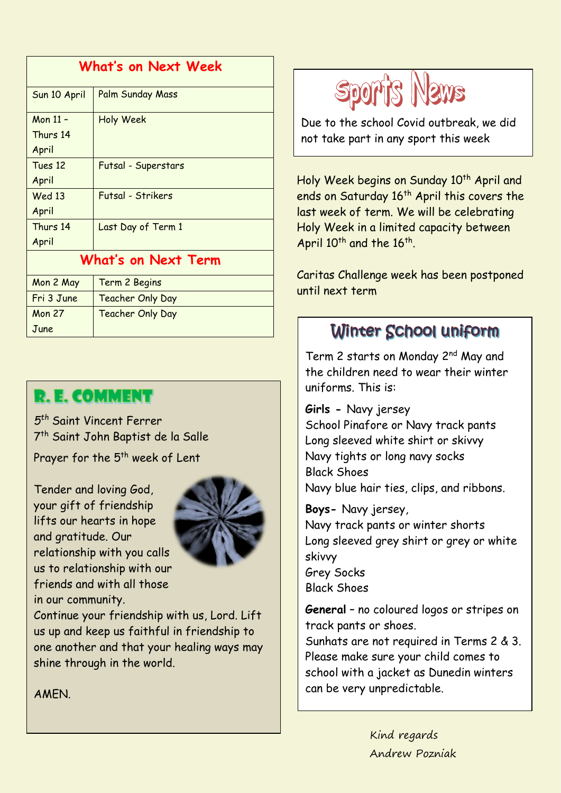| What's on Next Week |                         |  |  |  |  |  |
|---------------------|-------------------------|--|--|--|--|--|
| Sun 10 April        | Palm Sunday Mass        |  |  |  |  |  |
| Mon 11 -            | Holy Week               |  |  |  |  |  |
| Thurs 14            |                         |  |  |  |  |  |
| April               |                         |  |  |  |  |  |
| Tues 12             | Futsal - Superstars     |  |  |  |  |  |
| April               |                         |  |  |  |  |  |
| Wed 13              | Futsal - Strikers       |  |  |  |  |  |
| April               |                         |  |  |  |  |  |
| Thurs 14            | Last Day of Term 1      |  |  |  |  |  |
| April               |                         |  |  |  |  |  |
| What's on Next Term |                         |  |  |  |  |  |
| Mon 2 May           | Term 2 Begins           |  |  |  |  |  |
| Fri 3 June          | <b>Teacher Only Day</b> |  |  |  |  |  |
| <b>Mon 27</b>       | <b>Teacher Only Day</b> |  |  |  |  |  |
| June                |                         |  |  |  |  |  |

## **R. E. COMMENT**

*5 th* Saint Vincent Ferrer 7 th Saint John Baptist de la Salle Prayer for the 5<sup>th</sup> week of Lent

Tender and loving God, your gift of friendship lifts our hearts in hope and gratitude. Our relationship with you calls us to relationship with our friends and with all those in our community.



Continue your friendship with us, Lord. Lift us up and keep us faithful in friendship to one another and that your healing ways may shine through in the world.

AMEN.



Due to the school Covid outbreak, we did not take part in any sport this week

Holy Week begins on Sunday 10<sup>th</sup> April and ends on Saturday 16<sup>th</sup> April this covers the last week of term. We will be celebrating Holy Week in a limited capacity between April 10<sup>th</sup> and the 16<sup>th</sup>.

Caritas Challenge week has been postponed until next term

## Winter School uniform

Term 2 starts on Monday 2<sup>nd</sup> May and the children need to wear their winter uniforms. This is:

**Girls -** Navy jersey School Pinafore or Navy track pants Long sleeved white shirt or skivvy Navy tights or long navy socks Black Shoes Navy blue hair ties, clips, and ribbons.

**Boys-** Navy jersey, Navy track pants or winter shorts Long sleeved grey shirt or grey or white skivvy Grey Socks Black Shoes

**General** – no coloured logos or stripes on track pants or shoes.

Sunhats are not required in Terms 2 & 3. Please make sure your child comes to school with a jacket as Dunedin winters can be very unpredictable.

> Kind regards Andrew Pozniak